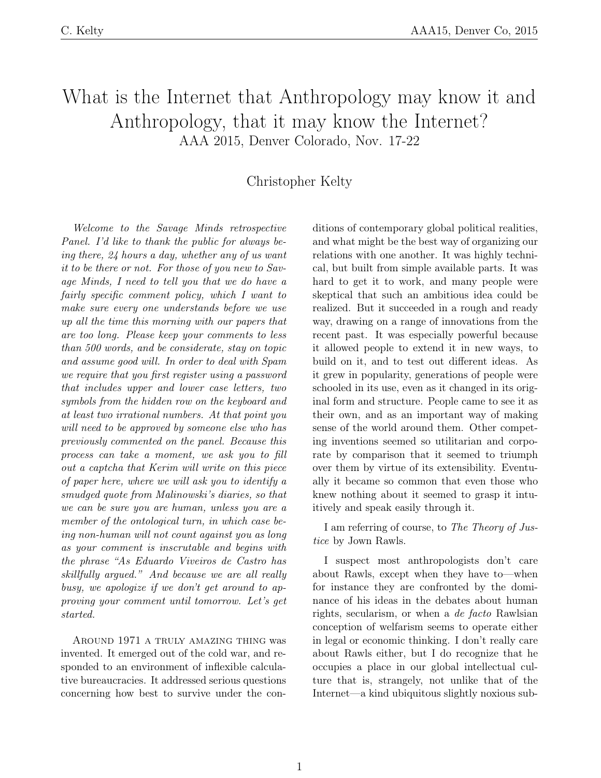## What is the Internet that Anthropology may know it and Anthropology, that it may know the Internet? AAA 2015, Denver Colorado, Nov. 17-22

## Christopher Kelty

Welcome to the Savage Minds retrospective Panel. I'd like to thank the public for always being there, 24 hours a day, whether any of us want it to be there or not. For those of you new to Savage Minds, I need to tell you that we do have a fairly specific comment policy, which I want to make sure every one understands before we use up all the time this morning with our papers that are too long. Please keep your comments to less than 500 words, and be considerate, stay on topic and assume good will. In order to deal with Spam we require that you first register using a password that includes upper and lower case letters, two symbols from the hidden row on the keyboard and at least two irrational numbers. At that point you will need to be approved by someone else who has previously commented on the panel. Because this process can take a moment, we ask you to fill out a captcha that Kerim will write on this piece of paper here, where we will ask you to identify a smudged quote from Malinowski's diaries, so that we can be sure you are human, unless you are a member of the ontological turn, in which case being non-human will not count against you as long as your comment is inscrutable and begins with the phrase "As Eduardo Viveiros de Castro has skillfully argued." And because we are all really busy, we apologize if we don't get around to approving your comment until tomorrow. Let's get started.

Around 1971 a truly amazing thing was invented. It emerged out of the cold war, and responded to an environment of inflexible calculative bureaucracies. It addressed serious questions concerning how best to survive under the conditions of contemporary global political realities, and what might be the best way of organizing our relations with one another. It was highly technical, but built from simple available parts. It was hard to get it to work, and many people were skeptical that such an ambitious idea could be realized. But it succeeded in a rough and ready way, drawing on a range of innovations from the recent past. It was especially powerful because it allowed people to extend it in new ways, to build on it, and to test out different ideas. As it grew in popularity, generations of people were schooled in its use, even as it changed in its original form and structure. People came to see it as their own, and as an important way of making sense of the world around them. Other competing inventions seemed so utilitarian and corporate by comparison that it seemed to triumph over them by virtue of its extensibility. Eventually it became so common that even those who knew nothing about it seemed to grasp it intuitively and speak easily through it.

I am referring of course, to The Theory of Justice by Jown Rawls.

I suspect most anthropologists don't care about Rawls, except when they have to—when for instance they are confronted by the dominance of his ideas in the debates about human rights, secularism, or when a de facto Rawlsian conception of welfarism seems to operate either in legal or economic thinking. I don't really care about Rawls either, but I do recognize that he occupies a place in our global intellectual culture that is, strangely, not unlike that of the Internet—a kind ubiquitous slightly noxious sub-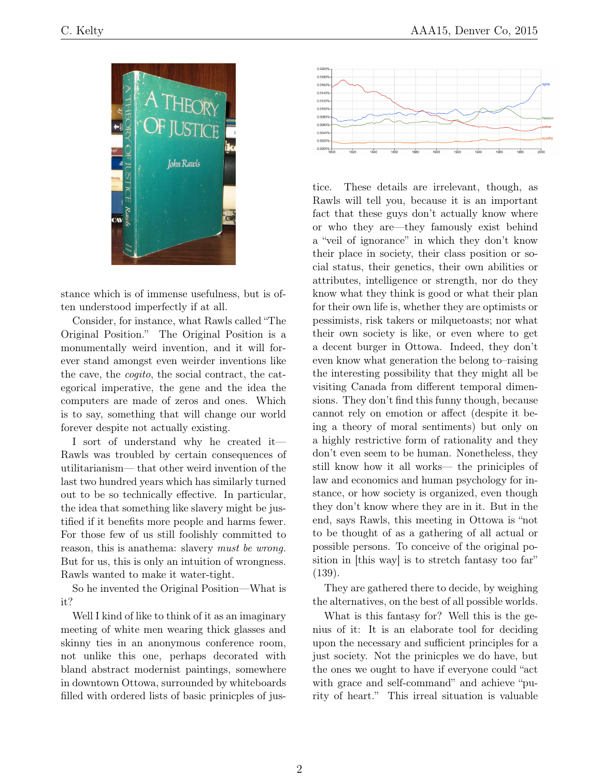

stance which is of immense usefulness, but is often understood imperfectly if at all.

Consider, for instance, what Rawls called "The Original Position." The Original Position is a monumentally weird invention, and it will forever stand amongst even weirder inventions like the cave, the cogito, the social contract, the categorical imperative, the gene and the idea the computers are made of zeros and ones. Which is to say, something that will change our world forever despite not actually existing.

I sort of understand why he created it— Rawls was troubled by certain consequences of utilitarianism— that other weird invention of the last two hundred years which has similarly turned out to be so technically effective. In particular, the idea that something like slavery might be justified if it benefits more people and harms fewer. For those few of us still foolishly committed to reason, this is anathema: slavery must be wrong. But for us, this is only an intuition of wrongness. Rawls wanted to make it water-tight.

So he invented the Original Position—What is it?

Well I kind of like to think of it as an imaginary meeting of white men wearing thick glasses and skinny ties in an anonymous conference room, not unlike this one, perhaps decorated with bland abstract modernist paintings, somewhere in downtown Ottowa, surrounded by whiteboards filled with ordered lists of basic prinicples of jus-



tice. These details are irrelevant, though, as Rawls will tell you, because it is an important fact that these guys don't actually know where or who they are—they famously exist behind a "veil of ignorance" in which they don't know their place in society, their class position or social status, their genetics, their own abilities or attributes, intelligence or strength, nor do they know what they think is good or what their plan for their own life is, whether they are optimists or pessimists, risk takers or milquetoasts; nor what their own society is like, or even where to get a decent burger in Ottowa. Indeed, they don't even know what generation the belong to–raising the interesting possibility that they might all be visiting Canada from different temporal dimensions. They don't find this funny though, because cannot rely on emotion or affect (despite it being a theory of moral sentiments) but only on a highly restrictive form of rationality and they don't even seem to be human. Nonetheless, they still know how it all works— the priniciples of law and economics and human psychology for instance, or how society is organized, even though they don't know where they are in it. But in the end, says Rawls, this meeting in Ottowa is "not to be thought of as a gathering of all actual or possible persons. To conceive of the original position in [this way] is to stretch fantasy too far" (139).

They are gathered there to decide, by weighing the alternatives, on the best of all possible worlds.

What is this fantasy for? Well this is the genius of it: It is an elaborate tool for deciding upon the necessary and sufficient principles for a just society. Not the prinicples we do have, but the ones we ought to have if everyone could "act with grace and self-command" and achieve "purity of heart." This irreal situation is valuable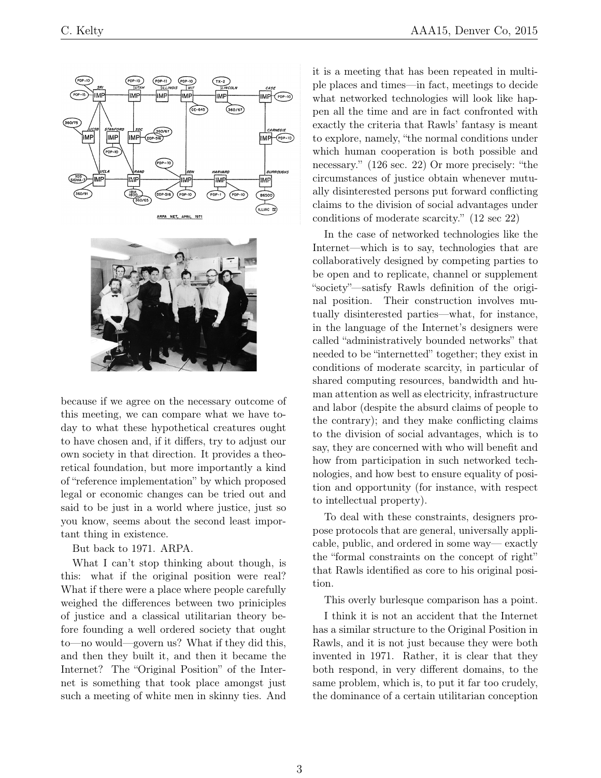

because if we agree on the necessary outcome of this meeting, we can compare what we have today to what these hypothetical creatures ought to have chosen and, if it differs, try to adjust our own society in that direction. It provides a theoretical foundation, but more importantly a kind of "reference implementation" by which proposed legal or economic changes can be tried out and said to be just in a world where justice, just so you know, seems about the second least important thing in existence.

But back to 1971. ARPA.

What I can't stop thinking about though, is this: what if the original position were real? What if there were a place where people carefully weighed the differences between two priniciples of justice and a classical utilitarian theory before founding a well ordered society that ought to—no would—govern us? What if they did this, and then they built it, and then it became the Internet? The "Original Position" of the Internet is something that took place amongst just such a meeting of white men in skinny ties. And it is a meeting that has been repeated in multiple places and times—in fact, meetings to decide what networked technologies will look like happen all the time and are in fact confronted with exactly the criteria that Rawls' fantasy is meant to explore, namely, "the normal conditions under which human cooperation is both possible and necessary." (126 sec. 22) Or more precisely: "the circumstances of justice obtain whenever mutually disinterested persons put forward conflicting claims to the division of social advantages under conditions of moderate scarcity." (12 sec 22)

In the case of networked technologies like the Internet—which is to say, technologies that are collaboratively designed by competing parties to be open and to replicate, channel or supplement "society"—satisfy Rawls definition of the original position. Their construction involves mutually disinterested parties—what, for instance, in the language of the Internet's designers were called "administratively bounded networks" that needed to be "internetted" together; they exist in conditions of moderate scarcity, in particular of shared computing resources, bandwidth and human attention as well as electricity, infrastructure and labor (despite the absurd claims of people to the contrary); and they make conflicting claims to the division of social advantages, which is to say, they are concerned with who will benefit and how from participation in such networked technologies, and how best to ensure equality of position and opportunity (for instance, with respect to intellectual property).

To deal with these constraints, designers propose protocols that are general, universally applicable, public, and ordered in some way— exactly the "formal constraints on the concept of right" that Rawls identified as core to his original position.

This overly burlesque comparison has a point.

I think it is not an accident that the Internet has a similar structure to the Original Position in Rawls, and it is not just because they were both invented in 1971. Rather, it is clear that they both respond, in very different domains, to the same problem, which is, to put it far too crudely, the dominance of a certain utilitarian conception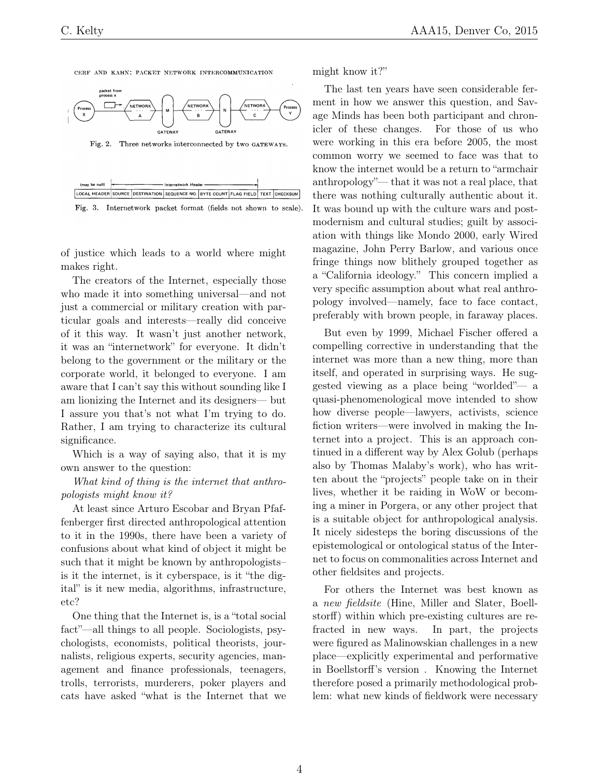CERF AND KAHN; PACKET NETWORK INTERCOMMUNICATION



Fig. 2. Three networks interconnected by two GATEWAYS.

| (may be null)                                                                     | Internetwork Header - |  |  |  |  |  |  |
|-----------------------------------------------------------------------------------|-----------------------|--|--|--|--|--|--|
| LOCAL HEADER SOURCE DESTINATION SEQUENCE NO. BYTE COUNT FLAG FIELD. TEXT CHECKSUM |                       |  |  |  |  |  |  |
|                                                                                   |                       |  |  |  |  |  |  |



of justice which leads to a world where might makes right.

The creators of the Internet, especially those who made it into something universal—and not just a commercial or military creation with particular goals and interests—really did conceive of it this way. It wasn't just another network, it was an "internetwork" for everyone. It didn't belong to the government or the military or the corporate world, it belonged to everyone. I am aware that I can't say this without sounding like I am lionizing the Internet and its designers— but I assure you that's not what I'm trying to do. Rather, I am trying to characterize its cultural significance.

Which is a way of saying also, that it is my own answer to the question:

What kind of thing is the internet that anthropologists might know it?

At least since Arturo Escobar and Bryan Pfaffenberger first directed anthropological attention to it in the 1990s, there have been a variety of confusions about what kind of object it might be such that it might be known by anthropologists– is it the internet, is it cyberspace, is it "the digital" is it new media, algorithms, infrastructure, etc?

One thing that the Internet is, is a "total social fact"—all things to all people. Sociologists, psychologists, economists, political theorists, journalists, religious experts, security agencies, management and finance professionals, teenagers, trolls, terrorists, murderers, poker players and cats have asked "what is the Internet that we might know it?"

The last ten years have seen considerable ferment in how we answer this question, and Savage Minds has been both participant and chronicler of these changes. For those of us who were working in this era before 2005, the most common worry we seemed to face was that to know the internet would be a return to "armchair anthropology"— that it was not a real place, that there was nothing culturally authentic about it. It was bound up with the culture wars and postmodernism and cultural studies; guilt by association with things like Mondo 2000, early Wired magazine, John Perry Barlow, and various once fringe things now blithely grouped together as a "California ideology." This concern implied a very specific assumption about what real anthropology involved—namely, face to face contact, preferably with brown people, in faraway places.

But even by 1999, Michael Fischer offered a compelling corrective in understanding that the internet was more than a new thing, more than itself, and operated in surprising ways. He suggested viewing as a place being "worlded"— a quasi-phenomenological move intended to show how diverse people—lawyers, activists, science fiction writers—were involved in making the Internet into a project. This is an approach continued in a different way by Alex Golub (perhaps also by Thomas Malaby's work), who has written about the "projects" people take on in their lives, whether it be raiding in WoW or becoming a miner in Porgera, or any other project that is a suitable object for anthropological analysis. It nicely sidesteps the boring discussions of the epistemological or ontological status of the Internet to focus on commonalities across Internet and other fieldsites and projects.

For others the Internet was best known as a new fieldsite (Hine, Miller and Slater, Boellstorff) within which pre-existing cultures are refracted in new ways. In part, the projects were figured as Malinowskian challenges in a new place—explicitly experimental and performative in Boellstorff's version . Knowing the Internet therefore posed a primarily methodological problem: what new kinds of fieldwork were necessary

4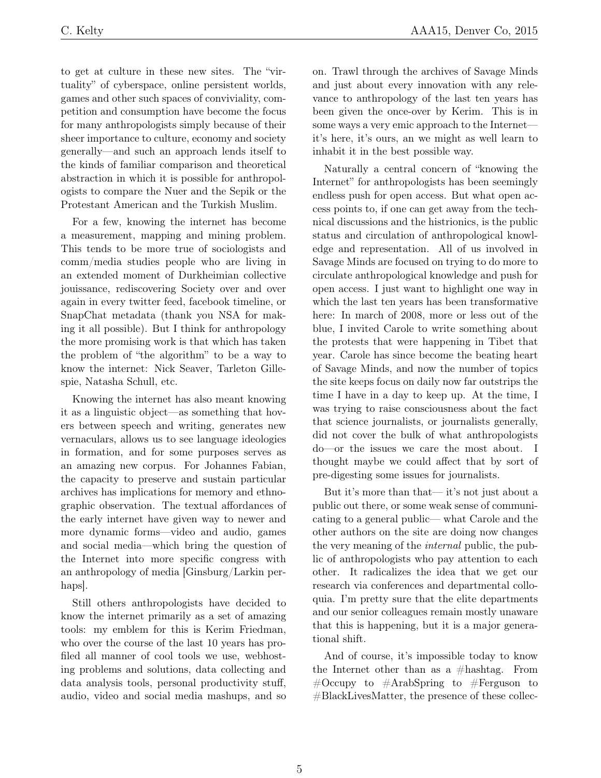to get at culture in these new sites. The "virtuality" of cyberspace, online persistent worlds, games and other such spaces of conviviality, competition and consumption have become the focus for many anthropologists simply because of their sheer importance to culture, economy and society generally—and such an approach lends itself to the kinds of familiar comparison and theoretical abstraction in which it is possible for anthropologists to compare the Nuer and the Sepik or the Protestant American and the Turkish Muslim.

For a few, knowing the internet has become a measurement, mapping and mining problem. This tends to be more true of sociologists and comm/media studies people who are living in an extended moment of Durkheimian collective jouissance, rediscovering Society over and over again in every twitter feed, facebook timeline, or SnapChat metadata (thank you NSA for making it all possible). But I think for anthropology the more promising work is that which has taken the problem of "the algorithm" to be a way to know the internet: Nick Seaver, Tarleton Gillespie, Natasha Schull, etc.

Knowing the internet has also meant knowing it as a linguistic object—as something that hovers between speech and writing, generates new vernaculars, allows us to see language ideologies in formation, and for some purposes serves as an amazing new corpus. For Johannes Fabian, the capacity to preserve and sustain particular archives has implications for memory and ethnographic observation. The textual affordances of the early internet have given way to newer and more dynamic forms—video and audio, games and social media—which bring the question of the Internet into more specific congress with an anthropology of media [Ginsburg/Larkin perhaps].

Still others anthropologists have decided to know the internet primarily as a set of amazing tools: my emblem for this is Kerim Friedman, who over the course of the last 10 years has profiled all manner of cool tools we use, webhosting problems and solutions, data collecting and data analysis tools, personal productivity stuff, audio, video and social media mashups, and so on. Trawl through the archives of Savage Minds and just about every innovation with any relevance to anthropology of the last ten years has been given the once-over by Kerim. This is in some ways a very emic approach to the Internet it's here, it's ours, an we might as well learn to inhabit it in the best possible way.

Naturally a central concern of "knowing the Internet" for anthropologists has been seemingly endless push for open access. But what open access points to, if one can get away from the technical discussions and the histrionics, is the public status and circulation of anthropological knowledge and representation. All of us involved in Savage Minds are focused on trying to do more to circulate anthropological knowledge and push for open access. I just want to highlight one way in which the last ten years has been transformative here: In march of 2008, more or less out of the blue, I invited Carole to write something about the protests that were happening in Tibet that year. Carole has since become the beating heart of Savage Minds, and now the number of topics the site keeps focus on daily now far outstrips the time I have in a day to keep up. At the time, I was trying to raise consciousness about the fact that science journalists, or journalists generally, did not cover the bulk of what anthropologists do—or the issues we care the most about. I thought maybe we could affect that by sort of pre-digesting some issues for journalists.

But it's more than that— it's not just about a public out there, or some weak sense of communicating to a general public— what Carole and the other authors on the site are doing now changes the very meaning of the internal public, the public of anthropologists who pay attention to each other. It radicalizes the idea that we get our research via conferences and departmental colloquia. I'm pretty sure that the elite departments and our senior colleagues remain mostly unaware that this is happening, but it is a major generational shift.

And of course, it's impossible today to know the Internet other than as a #hashtag. From  $\#\text{Occupy}$  to  $\#\text{ArabSpring}$  to  $\#\text{Ferguson}$  to #BlackLivesMatter, the presence of these collec-